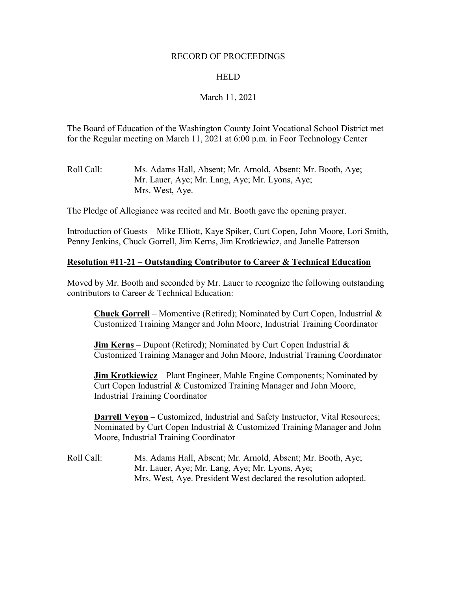## RECORD OF PROCEEDINGS

## HELD

## March 11, 2021

The Board of Education of the Washington County Joint Vocational School District met for the Regular meeting on March 11, 2021 at 6:00 p.m. in Foor Technology Center

Roll Call: Ms. Adams Hall, Absent; Mr. Arnold, Absent; Mr. Booth, Aye; Mr. Lauer, Aye; Mr. Lang, Aye; Mr. Lyons, Aye; Mrs. West, Aye.

The Pledge of Allegiance was recited and Mr. Booth gave the opening prayer.

Introduction of Guests – Mike Elliott, Kaye Spiker, Curt Copen, John Moore, Lori Smith, Penny Jenkins, Chuck Gorrell, Jim Kerns, Jim Krotkiewicz, and Janelle Patterson

## **Resolution #11-21 – Outstanding Contributor to Career & Technical Education**

Moved by Mr. Booth and seconded by Mr. Lauer to recognize the following outstanding contributors to Career & Technical Education:

**Chuck Gorrell** – Momentive (Retired); Nominated by Curt Copen, Industrial & Customized Training Manger and John Moore, Industrial Training Coordinator

**Jim Kerns** – Dupont (Retired); Nominated by Curt Copen Industrial & Customized Training Manager and John Moore, Industrial Training Coordinator

**Jim Krotkiewicz** – Plant Engineer, Mahle Engine Components; Nominated by Curt Copen Industrial & Customized Training Manager and John Moore, Industrial Training Coordinator

**Darrell Veyon** – Customized, Industrial and Safety Instructor, Vital Resources; Nominated by Curt Copen Industrial & Customized Training Manager and John Moore, Industrial Training Coordinator

Roll Call: Ms. Adams Hall, Absent; Mr. Arnold, Absent; Mr. Booth, Aye; Mr. Lauer, Aye; Mr. Lang, Aye; Mr. Lyons, Aye; Mrs. West, Aye. President West declared the resolution adopted.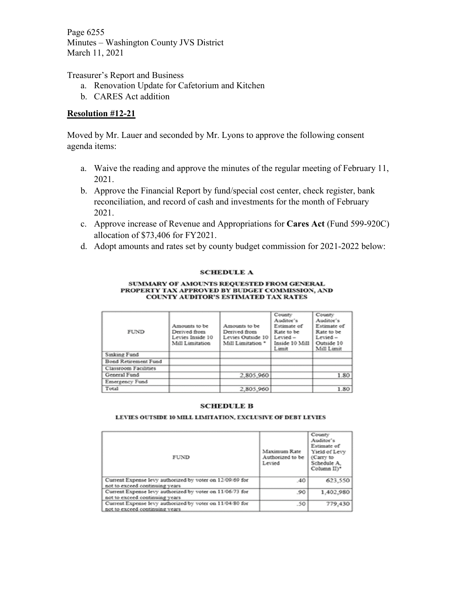Page 6255 Minutes – Washington County JVS District March 11, 2021

Treasurer's Report and Business

- a. Renovation Update for Cafetorium and Kitchen
- b. CARES Act addition

## **Resolution #12-21**

Moved by Mr. Lauer and seconded by Mr. Lyons to approve the following consent agenda items:

- a. Waive the reading and approve the minutes of the regular meeting of February 11, 2021.
- b. Approve the Financial Report by fund/special cost center, check register, bank reconciliation, and record of cash and investments for the month of February 2021.
- c. Approve increase of Revenue and Appropriations for **Cares Act** (Fund 599-920C) allocation of \$73,406 for FY2021.
- d. Adopt amounts and rates set by county budget commission for 2021-2022 below:

### **SCHEDULE A**

#### SUMMARY OF AMOUNTS REQUESTED FROM GENERAL PROPERTY TAX APPROVED BY BUDGET COMMISSION, AND COUNTY AUDITOR'S ESTIMATED TAX RATES

| FUND                 | Amounts to be<br>Derived from<br>Levies Inside 10<br>Mill Limitation | Amounts to be<br>Derived from<br>Levies Outside 10<br>Mill Limitation * | County<br>Auditor's<br>Estimate of<br>Rate to be<br>$L$ evied $-$<br>Inside 10 Mill<br>Limit | County<br>Auditor's<br>Estimate of<br>Rate to be<br>$L$ evied $-$<br>Outside 10<br>Mill Limit |
|----------------------|----------------------------------------------------------------------|-------------------------------------------------------------------------|----------------------------------------------------------------------------------------------|-----------------------------------------------------------------------------------------------|
| Sinking Fund         |                                                                      |                                                                         |                                                                                              |                                                                                               |
| Bond Retirement Fund |                                                                      |                                                                         |                                                                                              |                                                                                               |
| Classroom Facilities |                                                                      |                                                                         |                                                                                              |                                                                                               |
| General Fund         |                                                                      | 2,805,960                                                               |                                                                                              | 1.80                                                                                          |
| Emergency Fund       |                                                                      |                                                                         |                                                                                              |                                                                                               |
| Total                |                                                                      | 2,805,960                                                               |                                                                                              | 1.80                                                                                          |

### **SCHEDULE B**

#### LEVIES OUTSIDE 10 MILL LIMITATION, EXCLUSIVE OF DEBT LEVIES

| <b>FUND</b>                                                                                 | Maximum Rate<br>Authorized to be<br>Levied | County<br>Auditor's<br>Estimate of<br>Yield of Levy<br>(Carry to<br>Schedule A.<br>Column II)* |
|---------------------------------------------------------------------------------------------|--------------------------------------------|------------------------------------------------------------------------------------------------|
| Current Expense levy authorized by voter on 12/09/69 for<br>not to exceed continuing years  | .40                                        | 623,550                                                                                        |
| Current Expense levy authorized by voter on 11/06/73 for<br>not to exceed continuing years  | .90                                        | 1,402,980                                                                                      |
| Current Expense levy authorized by voter on 11/04/80 for<br>not to exceed continuing years. | .50                                        | 779,430                                                                                        |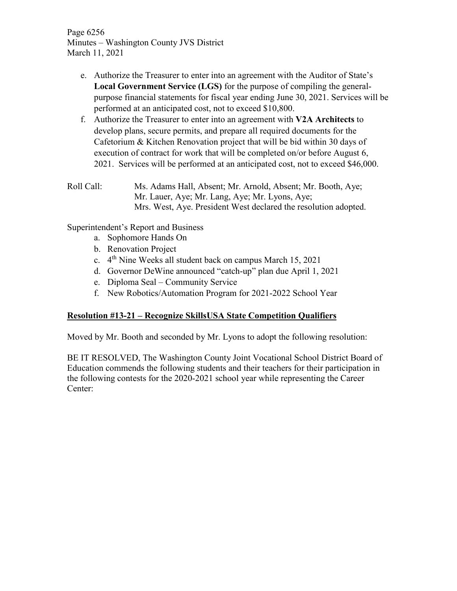Page 6256 Minutes – Washington County JVS District March 11, 2021

- e. Authorize the Treasurer to enter into an agreement with the Auditor of State's **Local Government Service (LGS)** for the purpose of compiling the generalpurpose financial statements for fiscal year ending June 30, 2021. Services will be performed at an anticipated cost, not to exceed \$10,800.
- f. Authorize the Treasurer to enter into an agreement with **V2A Architects** to develop plans, secure permits, and prepare all required documents for the Cafetorium & Kitchen Renovation project that will be bid within 30 days of execution of contract for work that will be completed on/or before August 6, 2021. Services will be performed at an anticipated cost, not to exceed \$46,000.
- Roll Call: Ms. Adams Hall, Absent; Mr. Arnold, Absent; Mr. Booth, Aye; Mr. Lauer, Aye; Mr. Lang, Aye; Mr. Lyons, Aye; Mrs. West, Aye. President West declared the resolution adopted.

Superintendent's Report and Business

- a. Sophomore Hands On
- b. Renovation Project
- c.  $4<sup>th</sup>$  Nine Weeks all student back on campus March 15, 2021
- d. Governor DeWine announced "catch-up" plan due April 1, 2021
- e. Diploma Seal Community Service
- f. New Robotics/Automation Program for 2021-2022 School Year

## **Resolution #13-21 – Recognize SkillsUSA State Competition Qualifiers**

Moved by Mr. Booth and seconded by Mr. Lyons to adopt the following resolution:

BE IT RESOLVED, The Washington County Joint Vocational School District Board of Education commends the following students and their teachers for their participation in the following contests for the 2020-2021 school year while representing the Career Center: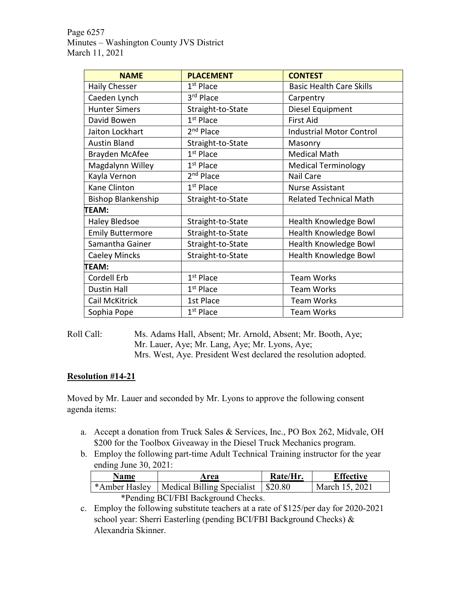Page 6257 Minutes – Washington County JVS District March 11, 2021

| <b>NAME</b>               | <b>PLACEMENT</b>      | <b>CONTEST</b>                  |
|---------------------------|-----------------------|---------------------------------|
| <b>Haily Chesser</b>      | $1st$ Place           | <b>Basic Health Care Skills</b> |
| Caeden Lynch              | 3 <sup>rd</sup> Place | Carpentry                       |
| <b>Hunter Simers</b>      | Straight-to-State     | Diesel Equipment                |
| David Bowen               | $1st$ Place           | <b>First Aid</b>                |
| Jaiton Lockhart           | 2 <sup>nd</sup> Place | <b>Industrial Motor Control</b> |
| <b>Austin Bland</b>       | Straight-to-State     | Masonry                         |
| <b>Brayden McAfee</b>     | $1st$ Place           | <b>Medical Math</b>             |
| Magdalynn Willey          | $1st$ Place           | <b>Medical Terminology</b>      |
| Kayla Vernon              | 2 <sup>nd</sup> Place | Nail Care                       |
| Kane Clinton              | $1st$ Place           | <b>Nurse Assistant</b>          |
| <b>Bishop Blankenship</b> | Straight-to-State     | <b>Related Technical Math</b>   |
| TEAM:                     |                       |                                 |
| <b>Haley Bledsoe</b>      | Straight-to-State     | Health Knowledge Bowl           |
| <b>Emily Buttermore</b>   | Straight-to-State     | Health Knowledge Bowl           |
| Samantha Gainer           | Straight-to-State     | Health Knowledge Bowl           |
| <b>Caeley Mincks</b>      | Straight-to-State     | <b>Health Knowledge Bowl</b>    |
| TEAM:                     |                       |                                 |
| Cordell Erb               | $1st$ Place           | <b>Team Works</b>               |
| <b>Dustin Hall</b>        | $1st$ Place           | <b>Team Works</b>               |
| Cail McKitrick            | 1st Place             | <b>Team Works</b>               |
| Sophia Pope               | 1 <sup>st</sup> Place | <b>Team Works</b>               |

Roll Call: Ms. Adams Hall, Absent; Mr. Arnold, Absent; Mr. Booth, Aye; Mr. Lauer, Aye; Mr. Lang, Aye; Mr. Lyons, Aye; Mrs. West, Aye. President West declared the resolution adopted.

## **Resolution #14-21**

Moved by Mr. Lauer and seconded by Mr. Lyons to approve the following consent agenda items:

- a. Accept a donation from Truck Sales & Services, Inc., PO Box 262, Midvale, OH \$200 for the Toolbox Giveaway in the Diesel Truck Mechanics program.
- b. Employ the following part-time Adult Technical Training instructor for the year ending June 30, 2021:

| <b>Name</b>                         | Area                                                 | Rate/Hr. | <b>Effective</b> |
|-------------------------------------|------------------------------------------------------|----------|------------------|
|                                     | *Amber Hasley   Medical Billing Specialist   \$20.80 |          | March 15, 2021   |
| *Pending BCI/FBI Background Checks. |                                                      |          |                  |

c. Employ the following substitute teachers at a rate of \$125/per day for 2020-2021 school year: Sherri Easterling (pending BCI/FBI Background Checks) & Alexandria Skinner.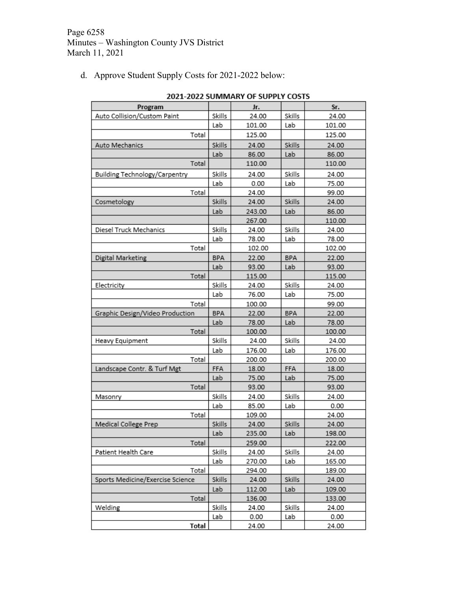d. Approve Student Supply Costs for 2021-2022 below:

| Program                          |            | Jr.    |            | Sr.    |
|----------------------------------|------------|--------|------------|--------|
| Auto Collision/Custom Paint      | Skills     | 24.00  | Skills     | 24.00  |
|                                  | Lab        | 101.00 | Lab        | 101.00 |
| Total                            |            | 125.00 |            | 125.00 |
| Auto Mechanics                   | Skills     | 24.00  | Skills     | 24.00  |
|                                  | Lab        | 86.00  | Lab        | 86.00  |
| Total                            |            | 110.00 |            | 110.00 |
| Building Technology/Carpentry    | Skills     | 24.00  | Skills     | 24.00  |
|                                  | Lab        | 0.00   | Lab        | 75.00  |
| Total                            |            | 24.00  |            | 99.00  |
| Cosmetology                      | Skills     | 24.00  | Skills     | 24.00  |
|                                  | Lab        | 243.00 | Lab        | 86.00  |
|                                  |            | 267.00 |            | 110.00 |
| Diesel Truck Mechanics           | Skills     | 24.00  | Skills     | 24.00  |
|                                  | Lab        | 78.00  | Lab        | 78.00  |
| Total                            |            | 102.00 |            | 102.00 |
| Digital Marketing                | <b>BPA</b> | 22.00  | <b>BPA</b> | 22.00  |
|                                  | Lab        | 93.00  | Lab        | 93.00  |
| Total                            |            | 115.00 |            | 115.00 |
| Electricity                      | Skills     | 24.00  | Skills     | 24.00  |
|                                  | Lab        | 76.00  | Lab        | 75.00  |
| Total                            |            | 100.00 |            | 99.00  |
| Graphic Design/Video Production  | BPA        | 22.00  | BPA        | 22.00  |
|                                  | Lab        | 78.00  | Lab        | 78.00  |
| Total                            |            | 100.00 |            | 100.00 |
| Heavy Equipment                  | Skills     | 24.00  | Skills     | 24.00  |
|                                  | Lab        | 176.00 | Lab        | 176.00 |
| Total                            |            | 200.00 |            | 200.00 |
| Landscape Contr. & Turf Mgt      | FFA        | 18.00  | FFA        | 18.00  |
|                                  | Lab        | 75.00  | Lab        | 75.00  |
| Total                            |            | 93.00  |            | 93.00  |
| Masonry                          | Skills     | 24.00  | Skills     | 24.00  |
|                                  | Lab        | 85.00  | Lab        | 0.00   |
| Total                            |            | 109.00 |            | 24.00  |
| Medical College Prep             | Skills     | 24.00  | Skills     | 24.00  |
|                                  | Lab        | 235.00 | Lab        | 198.00 |
| Total                            |            | 259.00 |            | 222.00 |
| Patient Health Care              | Skills     | 24.00  | Skills     | 24.00  |
|                                  | Lab        | 270.00 | Lab        | 165.00 |
| Total                            |            | 294.00 |            | 189.00 |
| Sports Medicine/Exercise Science | Skills     | 24.00  | Skills     | 24.00  |
|                                  | Lab        | 112.00 | Lab        | 109.00 |
| Total                            |            | 136.00 |            | 133.00 |
| Welding                          | Skills     | 24.00  | Skills     | 24.00  |
|                                  | Lab        | 0.00   | Lab        | 0.00   |
| Total                            |            | 24.00  |            | 24.00  |

2021-2022 SUMMARY OF SUPPLY COSTS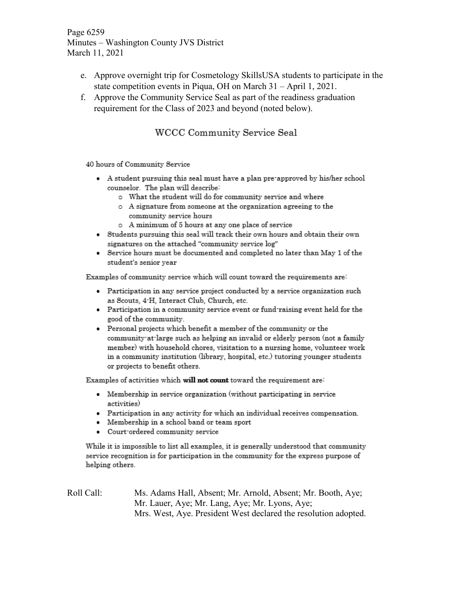Page 6259 Minutes – Washington County JVS District March 11, 2021

- e. Approve overnight trip for Cosmetology SkillsUSA students to participate in the state competition events in Piqua, OH on March 31 – April 1, 2021.
- f. Approve the Community Service Seal as part of the readiness graduation requirement for the Class of 2023 and beyond (noted below).

# WCCC Community Service Seal

40 hours of Community Service

- A student pursuing this seal must have a plan pre-approved by his/her school counselor. The plan will describe:
	- o What the student will do for community service and where
	- o A signature from someone at the organization agreeing to the community service hours
	- o A minimum of 5 hours at any one place of service
- Students pursuing this seal will track their own hours and obtain their own signatures on the attached "community service log"
- Service hours must be documented and completed no later than May 1 of the  $\bullet$ student's senior year

Examples of community service which will count toward the requirements are:

- Participation in any service project conducted by a service organization such as Scouts, 4-H, Interact Club, Church, etc.
- Participation in a community service event or fund raising event held for the good of the community.
- Personal projects which benefit a member of the community or the community at large such as helping an invalid or elderly person (not a family member) with household chores, visitation to a nursing home, volunteer work in a community institution (library, hospital, etc.) tutoring younger students or projects to benefit others.

Examples of activities which will not count toward the requirement are:

- Membership in service organization (without participating in service activities)
- Participation in any activity for which an individual receives compensation.
- Membership in a school band or team sport
- Court ordered community service

While it is impossible to list all examples, it is generally understood that community service recognition is for participation in the community for the express purpose of helping others.

Roll Call: Ms. Adams Hall, Absent; Mr. Arnold, Absent; Mr. Booth, Aye; Mr. Lauer, Aye; Mr. Lang, Aye; Mr. Lyons, Aye; Mrs. West, Aye. President West declared the resolution adopted.